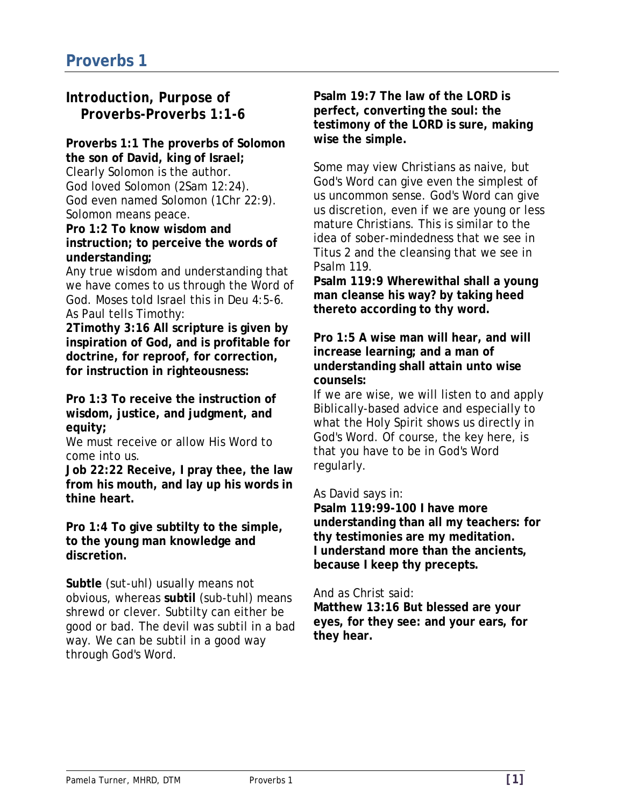# *Introduction, Purpose of Proverbs-Proverbs 1:1-6*

#### **Proverbs 1:1 The proverbs of Solomon the son of David, king of Israel;**  Clearly Solomon is the author. God loved Solomon (2Sam 12:24). God even named Solomon (1Chr 22:9). Solomon means peace.

**Pro 1:2 To know wisdom and instruction; to perceive the words of understanding;** 

Any true wisdom and understanding that we have comes to us through the Word of God. Moses told Israel this in Deu 4:5-6. As Paul tells Timothy:

**2Timothy 3:16 All scripture is given by inspiration of God, and is profitable for doctrine, for reproof, for correction, for instruction in righteousness:** 

**Pro 1:3 To receive the instruction of wisdom, justice, and judgment, and equity;** 

We must receive or allow His Word to come into us.

**Job 22:22 Receive, I pray thee, the law from his mouth, and lay up his words in thine heart.** 

**Pro 1:4 To give subtilty to the simple, to the young man knowledge and discretion.** 

**Subtle** (sut-uhl) usually means not obvious, whereas **subtil** (sub-tuhl) means shrewd or clever. Subtilty can either be good or bad. The devil was subtil in a bad way. We can be subtil in a good way through God's Word.

**Psalm 19:7 The law of the LORD is perfect, converting the soul: the testimony of the LORD is sure, making wise the simple.** 

Some may view Christians as naive, but God's Word can give even the simplest of us uncommon sense. God's Word can give us discretion, even if we are young or less mature Christians. This is similar to the idea of sober-mindedness that we see in Titus 2 and the cleansing that we see in Psalm 119.

**Psalm 119:9 Wherewithal shall a young man cleanse his way? by taking heed thereto according to thy word.** 

**Pro 1:5 A wise man will hear, and will increase learning; and a man of understanding shall attain unto wise counsels:** 

If we are wise, we will listen to and apply Biblically-based advice and especially to what the Holy Spirit shows us directly in God's Word. Of course, the key here, is that you have to be in God's Word regularly.

As David says in:

**Psalm 119:99-100 I have more understanding than all my teachers: for thy testimonies are my meditation. I understand more than the ancients, because I keep thy precepts.** 

And as Christ said:

**Matthew 13:16 But blessed are your eyes, for they see: and your ears, for they hear.**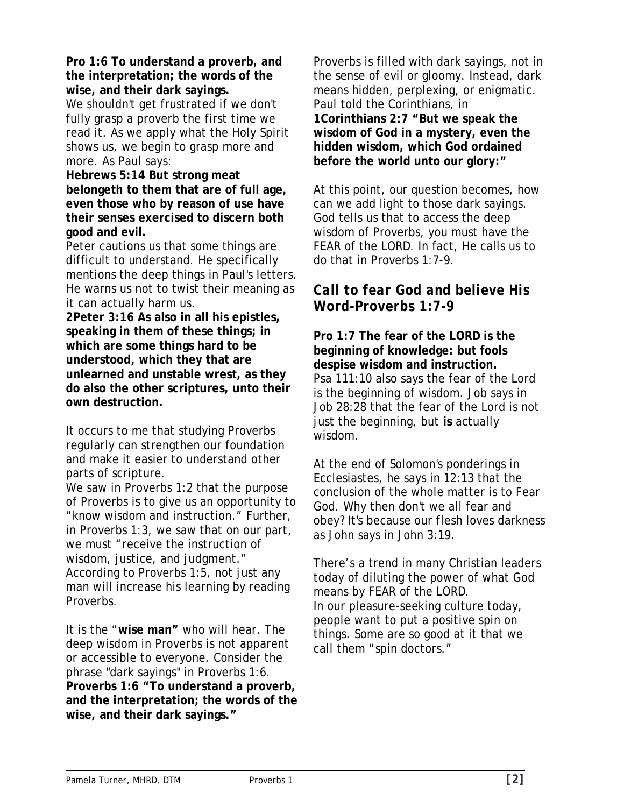**Pro 1:6 To understand a proverb, and the interpretation; the words of the wise, and their dark sayings.**  We shouldn't get frustrated if we don't

fully grasp a proverb the first time we read it. As we apply what the Holy Spirit shows us, we begin to grasp more and more. As Paul says:

**Hebrews 5:14 But strong meat belongeth to them that are of full age, even those who by reason of use have their senses exercised to discern both good and evil.** 

Peter cautions us that some things are difficult to understand. He specifically mentions the deep things in Paul's letters. He warns us not to twist their meaning as it can actually harm us.

**2Peter 3:16 As also in all his epistles, speaking in them of these things; in which are some things hard to be understood, which they that are unlearned and unstable wrest, as they do also the other scriptures, unto their own destruction.** 

It occurs to me that studying Proverbs regularly can strengthen our foundation and make it easier to understand other parts of scripture.

We saw in Proverbs 1:2 that the purpose of Proverbs is to give us an opportunity to "know wisdom and instruction." Further, in Proverbs 1:3, we saw that on our part, we must "receive the instruction of wisdom, justice, and judgment." According to Proverbs 1:5, not just any man will increase his learning by reading Proverbs.

It is the "**wise man"** who will hear. The deep wisdom in Proverbs is not apparent or accessible to everyone. Consider the phrase "dark sayings" in Proverbs 1:6. **Proverbs 1:6 "To understand a proverb, and the interpretation; the words of the wise, and their dark sayings."** 

Proverbs is filled with dark sayings, not in the sense of evil or gloomy. Instead, dark means hidden, perplexing, or enigmatic. Paul told the Corinthians, in **1Corinthians 2:7 "But we speak the wisdom of God in a mystery, even the hidden wisdom, which God ordained before the world unto our glory:"** 

At this point, our question becomes, how can we add light to those dark sayings. God tells us that to access the deep wisdom of Proverbs, you must have the FEAR of the LORD. In fact, He calls us to do that in Proverbs 1:7-9.

### *Call to fear God and believe His Word-Proverbs 1:7-9*

**Pro 1:7 The fear of the LORD is the beginning of knowledge: but fools despise wisdom and instruction.**  Psa 111:10 also says the fear of the Lord is the beginning of wisdom. Job says in Job 28:28 that the fear of the Lord is not just the beginning, but **is** actually wisdom.

At the end of Solomon's ponderings in Ecclesiastes, he says in 12:13 that the conclusion of the whole matter is to Fear God. Why then don't we all fear and obey? It's because our flesh loves darkness as John says in John 3:19.

There's a trend in many Christian leaders today of diluting the power of what God means by FEAR of the LORD. In our pleasure-seeking culture today, people want to put a positive spin on things. Some are so good at it that we call them "spin doctors."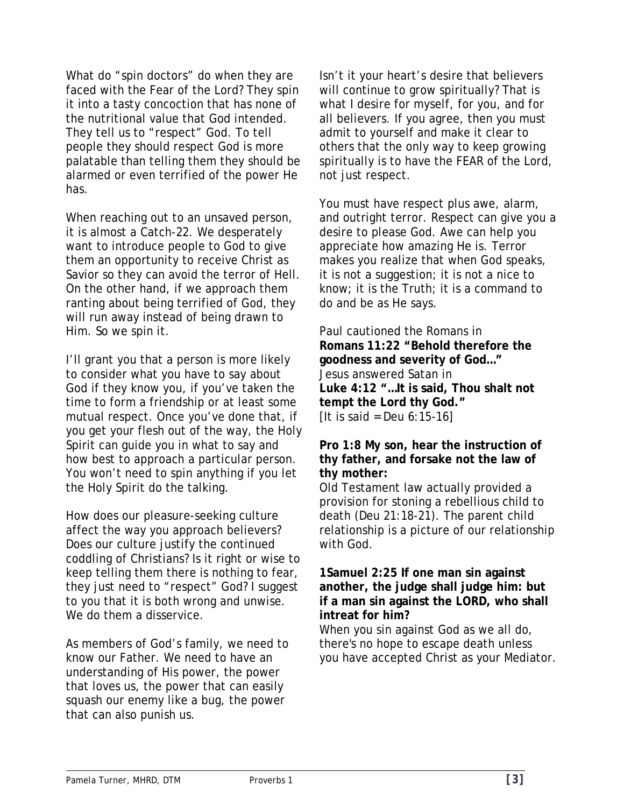What do "spin doctors" do when they are faced with the Fear of the Lord? They spin it into a tasty concoction that has none of the nutritional value that God intended. They tell us to "respect" God. To tell people they should respect God is more palatable than telling them they should be alarmed or even terrified of the power He has.

When reaching out to an unsaved person, it is almost a Catch-22. We desperately want to introduce people to God to give them an opportunity to receive Christ as Savior so they can avoid the terror of Hell. On the other hand, if we approach them ranting about being terrified of God, they will run away instead of being drawn to Him. So we spin it.

I'll grant you that a person is more likely to consider what you have to say about God if they know you, if you've taken the time to form a friendship or at least some mutual respect. Once you've done that, if you get your flesh out of the way, the Holy Spirit can guide you in what to say and how best to approach a particular person. You won't need to spin anything if you let the Holy Spirit do the talking.

How does our pleasure-seeking culture affect the way you approach believers? Does our culture justify the continued coddling of Christians? Is it right or wise to keep telling them there is nothing to fear, they just need to "respect" God? I suggest to you that it is both wrong and unwise. We do them a disservice.

As members of God's family, we need to know our Father. We need to have an understanding of His power, the power that loves us, the power that can easily squash our enemy like a bug, the power that can also punish us.

Isn't it your heart's desire that believers will continue to grow spiritually? That is what I desire for myself, for you, and for all believers. If you agree, then you must admit to yourself and make it clear to others that the only way to keep growing spiritually is to have the FEAR of the Lord, not just respect.

You must have respect plus awe, alarm, and outright terror. Respect can give you a desire to please God. Awe can help you appreciate how amazing He is. Terror makes you realize that when God speaks, it is not a suggestion; it is not a nice to know; it is the Truth; it is a command to do and be as He says.

Paul cautioned the Romans in **Romans 11:22 "Behold therefore the goodness and severity of God…"**  Jesus answered Satan in **Luke 4:12 "…It is said, Thou shalt not tempt the Lord thy God."**  [It is said = Deu  $6:15-16$ ]

#### **Pro 1:8 My son, hear the instruction of thy father, and forsake not the law of thy mother:**

Old Testament law actually provided a provision for stoning a rebellious child to death (Deu 21:18-21). The parent child relationship is a picture of our relationship with God.

#### **1Samuel 2:25 If one man sin against another, the judge shall judge him: but if a man sin against the LORD, who shall intreat for him?**

When you sin against God as we all do, there's no hope to escape death unless you have accepted Christ as your Mediator.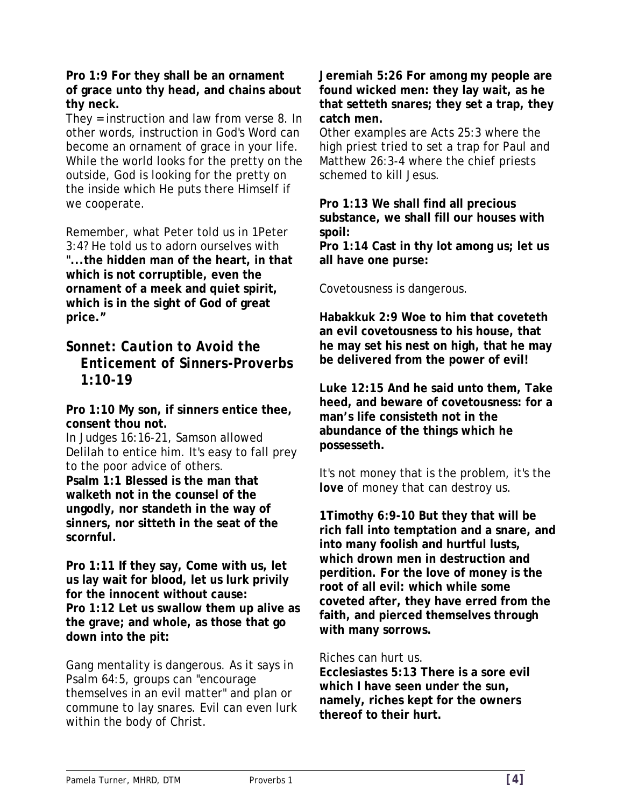**Pro 1:9 For they shall be an ornament of grace unto thy head, and chains about thy neck.** 

They = instruction and law from verse 8. In other words, instruction in God's Word can become an ornament of grace in your life. While the world looks for the pretty on the outside, God is looking for the pretty on the inside which He puts there Himself if we cooperate.

Remember, what Peter told us in 1Peter 3:4? He told us to adorn ourselves with **"...the hidden man of the heart, in that which is not corruptible, even the ornament of a meek and quiet spirit, which is in the sight of God of great price."** 

### *Sonnet: Caution to Avoid the Enticement of Sinners-Proverbs 1:10-19*

**Pro 1:10 My son, if sinners entice thee, consent thou not.** 

In Judges 16:16-21, Samson allowed Delilah to entice him. It's easy to fall prey to the poor advice of others. **Psalm 1:1 Blessed is the man that walketh not in the counsel of the ungodly, nor standeth in the way of sinners, nor sitteth in the seat of the scornful.** 

**Pro 1:11 If they say, Come with us, let us lay wait for blood, let us lurk privily for the innocent without cause: Pro 1:12 Let us swallow them up alive as the grave; and whole, as those that go down into the pit:** 

Gang mentality is dangerous. As it says in Psalm 64:5, groups can "encourage themselves in an evil matter" and plan or commune to lay snares. Evil can even lurk within the body of Christ.

**Jeremiah 5:26 For among my people are found wicked men: they lay wait, as he that setteth snares; they set a trap, they catch men.** 

Other examples are Acts 25:3 where the high priest tried to set a trap for Paul and Matthew 26:3-4 where the chief priests schemed to kill Jesus.

**Pro 1:13 We shall find all precious substance, we shall fill our houses with spoil:** 

**Pro 1:14 Cast in thy lot among us; let us all have one purse:** 

Covetousness is dangerous.

**Habakkuk 2:9 Woe to him that coveteth an evil covetousness to his house, that he may set his nest on high, that he may be delivered from the power of evil!** 

**Luke 12:15 And he said unto them, Take heed, and beware of covetousness: for a man's life consisteth not in the abundance of the things which he possesseth.** 

It's not money that is the problem, it's the *love* of money that can destroy us.

**1Timothy 6:9-10 But they that will be rich fall into temptation and a snare, and into many foolish and hurtful lusts, which drown men in destruction and perdition. For the love of money is the root of all evil: which while some coveted after, they have erred from the faith, and pierced themselves through with many sorrows.** 

#### Riches can hurt us.

**Ecclesiastes 5:13 There is a sore evil which I have seen under the sun, namely, riches kept for the owners thereof to their hurt.**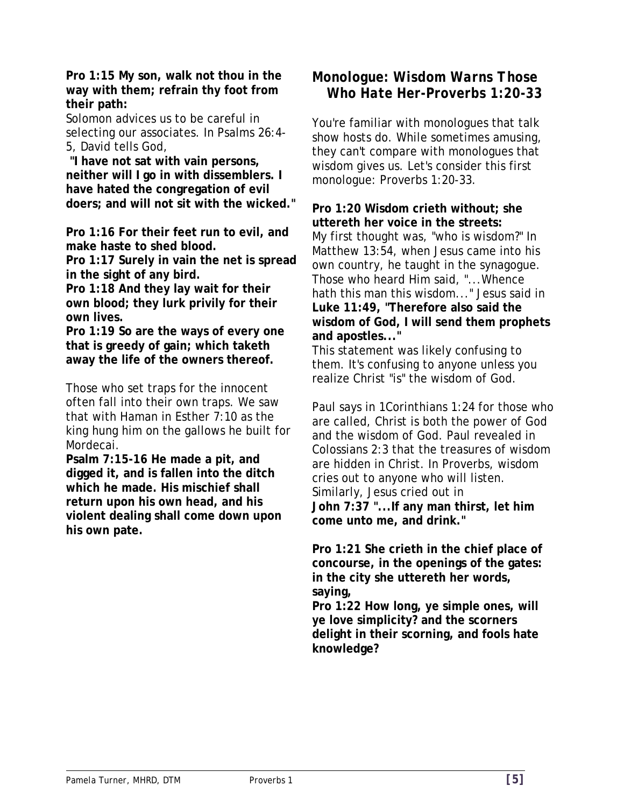**Pro 1:15 My son, walk not thou in the way with them; refrain thy foot from their path:** 

Solomon advices us to be careful in selecting our associates. In Psalms 26:4- 5, David tells God,

 **"I have not sat with vain persons, neither will I go in with dissemblers. I have hated the congregation of evil doers; and will not sit with the wicked."** 

**Pro 1:16 For their feet run to evil, and make haste to shed blood.** 

**Pro 1:17 Surely in vain the net is spread in the sight of any bird.** 

**Pro 1:18 And they lay wait for their own blood; they lurk privily for their own lives.** 

**Pro 1:19 So are the ways of every one that is greedy of gain; which taketh away the life of the owners thereof.** 

Those who set traps for the innocent often fall into their own traps. We saw that with Haman in Esther 7:10 as the king hung him on the gallows he built for Mordecai.

**Psalm 7:15-16 He made a pit, and digged it, and is fallen into the ditch which he made. His mischief shall return upon his own head, and his violent dealing shall come down upon his own pate.** 

## *Monologue: Wisdom Warns Those Who Hate Her-Proverbs 1:20-33*

You're familiar with monologues that talk show hosts do. While sometimes amusing, they can't compare with monologues that wisdom gives us. Let's consider this first monologue: Proverbs 1:20-33.

**Pro 1:20 Wisdom crieth without; she uttereth her voice in the streets:** 

My first thought was, "who is wisdom?" In Matthew 13:54, when Jesus came into his own country, he taught in the synagogue. Those who heard Him said, "...Whence hath this man this wisdom..." Jesus said in **Luke 11:49, "Therefore also said the wisdom of God, I will send them prophets and apostles..."** 

This statement was likely confusing to them. It's confusing to anyone unless you realize Christ "is" the wisdom of God.

Paul says in 1Corinthians 1:24 for those who are called, Christ is both the power of God and the wisdom of God. Paul revealed in Colossians 2:3 that the treasures of wisdom are hidden in Christ. In Proverbs, wisdom cries out to anyone who will listen. Similarly, Jesus cried out in **John 7:37 "...If any man thirst, let him come unto me, and drink."** 

**Pro 1:21 She crieth in the chief place of concourse, in the openings of the gates: in the city she uttereth her words, saying,** 

**Pro 1:22 How long, ye simple ones, will ye love simplicity? and the scorners delight in their scorning, and fools hate knowledge?**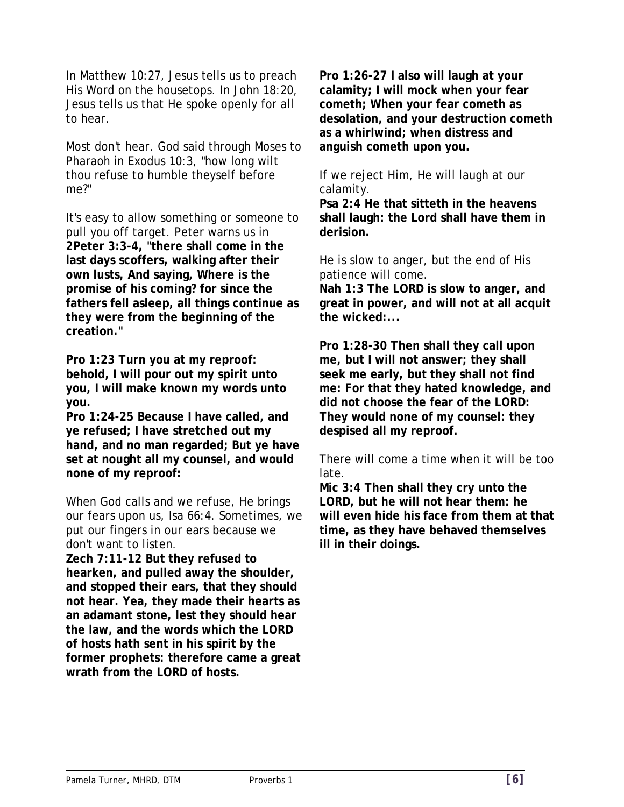In Matthew 10:27, Jesus tells us to preach His Word on the housetops. In John 18:20, Jesus tells us that He spoke openly for all to hear.

Most don't hear. God said through Moses to Pharaoh in Exodus 10:3, "how long wilt thou refuse to humble theyself before me?"

It's easy to allow something or someone to pull you off target. Peter warns us in **2Peter 3:3-4, "there shall come in the last days scoffers, walking after their own lusts, And saying, Where is the promise of his coming? for since the fathers fell asleep, all things continue as they were from the beginning of the creation."** 

**Pro 1:23 Turn you at my reproof: behold, I will pour out my spirit unto you, I will make known my words unto you.** 

**Pro 1:24-25 Because I have called, and ye refused; I have stretched out my hand, and no man regarded; But ye have set at nought all my counsel, and would none of my reproof:** 

When God calls and we refuse, He brings our fears upon us, Isa 66:4. Sometimes, we put our fingers in our ears because we don't want to listen.

**Zech 7:11-12 But they refused to hearken, and pulled away the shoulder, and stopped their ears, that they should not hear. Yea, they made their hearts as an adamant stone, lest they should hear the law, and the words which the LORD of hosts hath sent in his spirit by the former prophets: therefore came a great wrath from the LORD of hosts.** 

**Pro 1:26-27 I also will laugh at your calamity; I will mock when your fear cometh; When your fear cometh as desolation, and your destruction cometh as a whirlwind; when distress and anguish cometh upon you.** 

If we reject Him, He will laugh at our calamity.

**Psa 2:4 He that sitteth in the heavens shall laugh: the Lord shall have them in derision.**

He is slow to anger, but the end of His patience will come. **Nah 1:3 The LORD is slow to anger, and great in power, and will not at all acquit the wicked:...** 

**Pro 1:28-30 Then shall they call upon me, but I will not answer; they shall seek me early, but they shall not find me: For that they hated knowledge, and did not choose the fear of the LORD: They would none of my counsel: they despised all my reproof.** 

There will come a time when it will be too late.

**Mic 3:4 Then shall they cry unto the LORD, but he will not hear them: he will even hide his face from them at that time, as they have behaved themselves ill in their doings.**